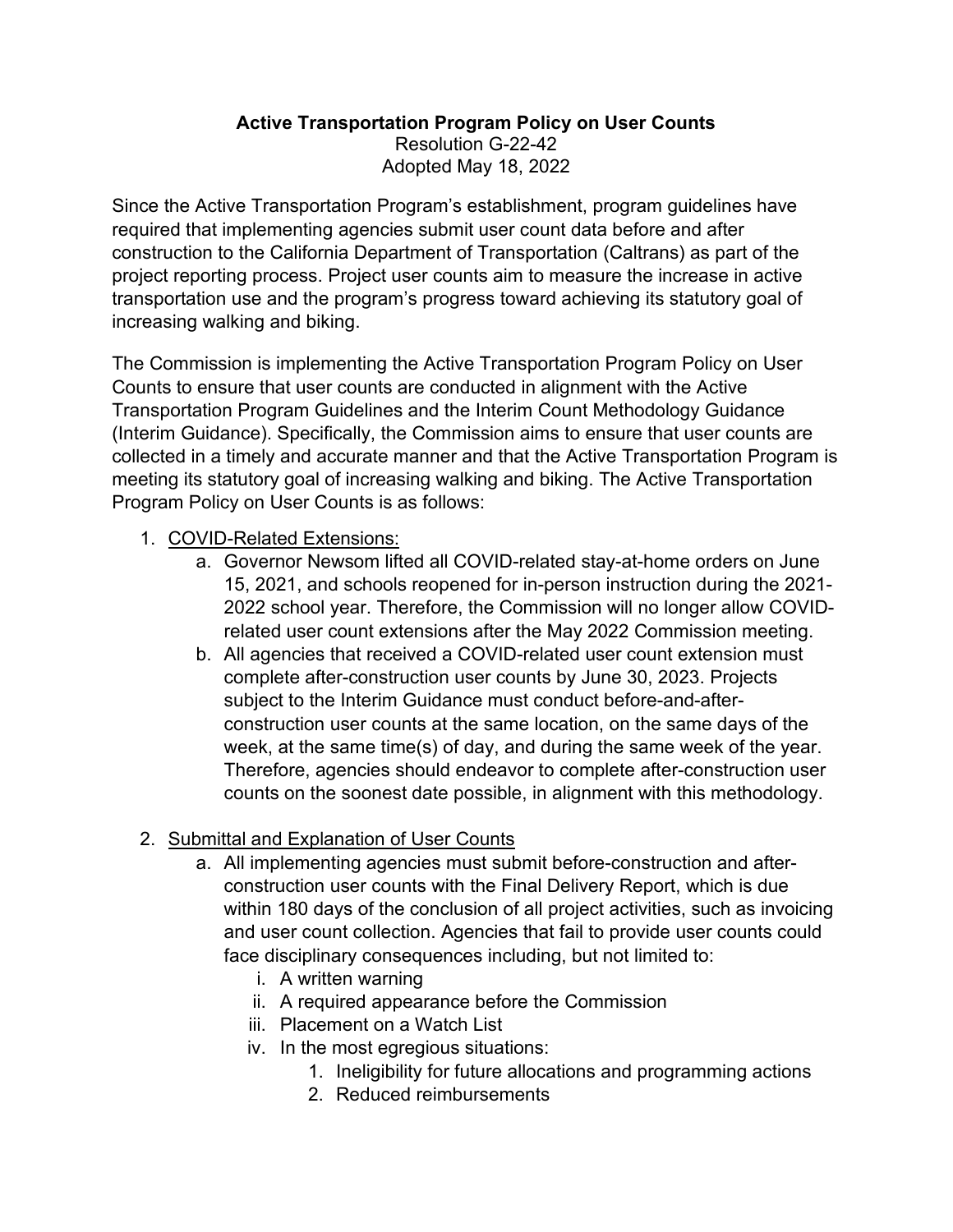## **Active Transportation Program Policy on User Counts**  Resolution G-22-42 Adopted May 18, 2022

Since the Active Transportation Program's establishment, program guidelines have required that implementing agencies submit user count data before and after construction to the California Department of Transportation (Caltrans) as part of the project reporting process. Project user counts aim to measure the increase in active transportation use and the program's progress toward achieving its statutory goal of increasing walking and biking.

 Counts to ensure that user counts are conducted in alignment with the Active collected in a timely and accurate manner and that the Active Transportation Program is Program Policy on User Counts is as follows: The Commission is implementing the Active Transportation Program Policy on User Transportation Program Guidelines and the Interim Count Methodology Guidance (Interim Guidance). Specifically, the Commission aims to ensure that user counts are meeting its statutory goal of increasing walking and biking. The Active Transportation

## 1. COVID-Related Extensions:

- 15, 2021, and schools reopened for in-person instruction during the 2021 a. Governor Newsom lifted all COVID-related stay-at-home orders on June 2022 school year. Therefore, the Commission will no longer allow COVIDrelated user count extensions after the May 2022 Commission meeting.
- complete after-construction user counts by June 30, 2023. Projects subject to the Interim Guidance must conduct before-and-afterb. All agencies that received a COVID-related user count extension must construction user counts at the same location, on the same days of the week, at the same time(s) of day, and during the same week of the year. Therefore, agencies should endeavor to complete after-construction user counts on the soonest date possible, in alignment with this methodology.

## 2. Submittal and Explanation of User Counts

- a. All implementing agencies must submit before-construction and afterconstruction user counts with the Final Delivery Report, which is due within 180 days of the conclusion of all project activities, such as invoicing and user count collection. Agencies that fail to provide user counts could face disciplinary consequences including, but not limited to:
	- i. A written warning
	- ii. A required appearance before the Commission
	- iii. Placement on a Watch List
	- iv. In the most egregious situations:
		- 1. Ineligibility for future allocations and programming actions
		- 2. Reduced reimbursements